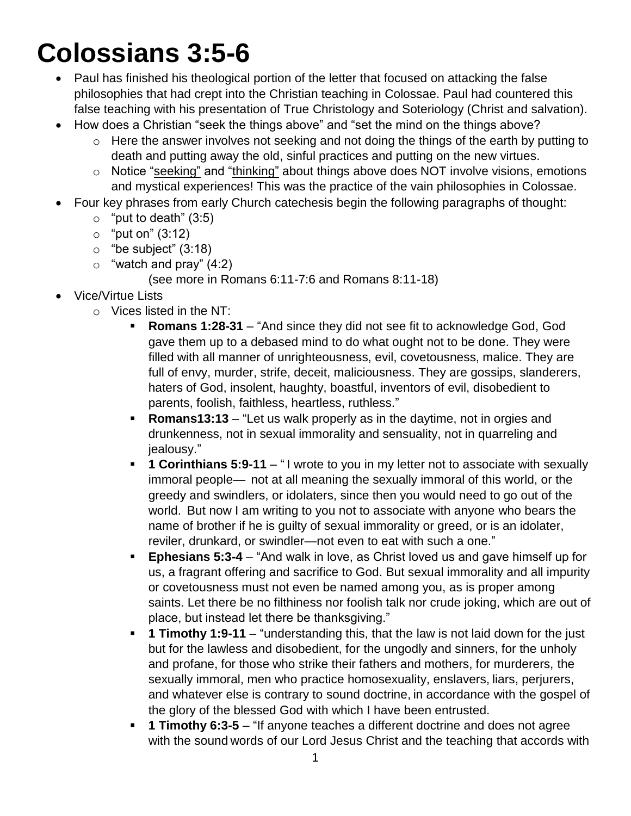# **Colossians 3:5-6**

- Paul has finished his theological portion of the letter that focused on attacking the false philosophies that had crept into the Christian teaching in Colossae. Paul had countered this false teaching with his presentation of True Christology and Soteriology (Christ and salvation).
- How does a Christian "seek the things above" and "set the mind on the things above?
	- $\circ$  Here the answer involves not seeking and not doing the things of the earth by putting to death and putting away the old, sinful practices and putting on the new virtues.
	- o Notice "seeking" and "thinking" about things above does NOT involve visions, emotions and mystical experiences! This was the practice of the vain philosophies in Colossae.
- Four key phrases from early Church catechesis begin the following paragraphs of thought:
	- $\circ$  "put to death" (3:5)
	- $\circ$  "put on" (3:12)
	- $\circ$  "be subject" (3:18)
	- $\circ$  "watch and pray" (4:2)
		- (see more in Romans 6:11-7:6 and Romans 8:11-18)
- Vice/Virtue Lists
	- $\circ$  Vices listed in the NT:
		- **Romans 1:28-31** "And since they did not see fit to acknowledge God, God gave them up to a debased mind to do what ought not to be done. They were filled with all manner of unrighteousness, evil, covetousness, malice. They are full of envy, murder, strife, deceit, maliciousness. They are gossips, slanderers, haters of God, insolent, haughty, boastful, inventors of evil, disobedient to parents, foolish, faithless, heartless, ruthless."
		- **Romans13:13** "Let us walk properly as in the daytime, not in orgies and drunkenness, not in sexual immorality and sensuality, not in quarreling and iealousy."
		- **1 Corinthians 5:9-11** "I wrote to you in my letter not to associate with sexually immoral people— not at all meaning the sexually immoral of this world, or the greedy and swindlers, or idolaters, since then you would need to go out of the world. But now I am writing to you not to associate with anyone who bears the name of brother if he is guilty of sexual immorality or greed, or is an idolater, reviler, drunkard, or swindler—not even to eat with such a one."
		- **Ephesians 5:3-4** "And walk in love, as Christ loved us and gave himself up for us, a fragrant offering and sacrifice to God. But sexual immorality and all impurity or covetousness must not even be named among you, as is proper among saints. Let there be no filthiness nor foolish talk nor crude joking, which are out of place, but instead let there be thanksgiving."
		- **1 Timothy 1:9-11** "understanding this, that the law is not laid down for the just but for the lawless and disobedient, for the ungodly and sinners, for the unholy and profane, for those who strike their fathers and mothers, for murderers, the sexually immoral, men who practice homosexuality, enslavers, liars, perjurers, and whatever else is contrary to sound doctrine, in accordance with the gospel of the glory of the blessed God with which I have been entrusted.
		- **1 Timothy 6:3-5** "If anyone teaches a different doctrine and does not agree with the sound words of our Lord Jesus Christ and the teaching that accords with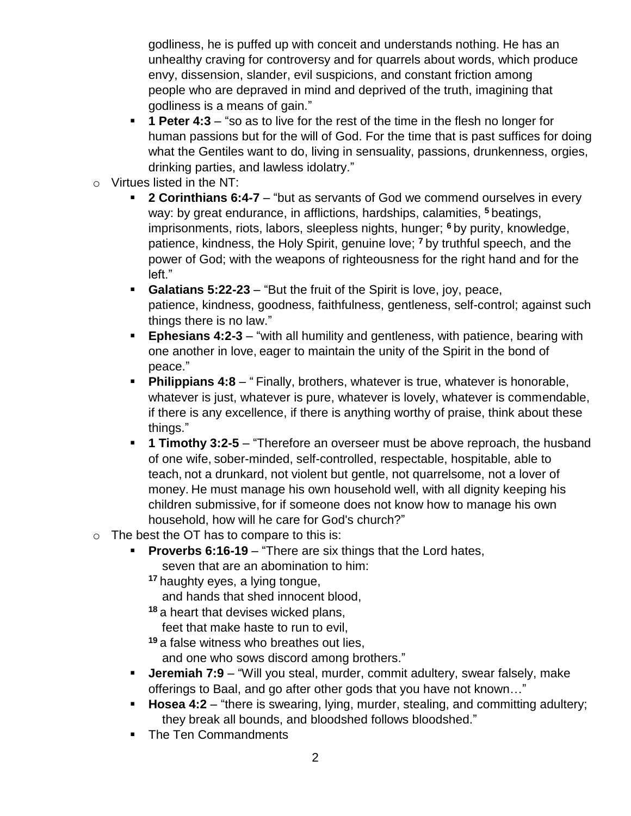godliness, he is puffed up with conceit and understands nothing. He has an unhealthy craving for controversy and for quarrels about words, which produce envy, dissension, slander, evil suspicions, and constant friction among people who are depraved in mind and deprived of the truth, imagining that godliness is a means of gain."

- **1 Peter 4:3** "so as to live for the rest of the time in the flesh no longer for human passions but for the will of God. For the time that is past suffices for doing what the Gentiles want to do, living in sensuality, passions, drunkenness, orgies, drinking parties, and lawless idolatry."
- o Virtues listed in the NT:
	- **2 Corinthians 6:4-7** "but as servants of God we commend ourselves in every way: by great endurance, in afflictions, hardships, calamities, **<sup>5</sup>** beatings, imprisonments, riots, labors, sleepless nights, hunger; **<sup>6</sup>** by purity, knowledge, patience, kindness, the Holy Spirit, genuine love; **<sup>7</sup>** by truthful speech, and the power of God; with the weapons of righteousness for the right hand and for the left."
	- **Galatians 5:22-23** "But the fruit of the Spirit is love, joy, peace, patience, kindness, goodness, faithfulness, gentleness, self-control; against such things there is no law."
	- **Ephesians 4:2-3** "with all humility and gentleness, with patience, bearing with one another in love, eager to maintain the unity of the Spirit in the bond of peace."
	- **Philippians 4:8** "Finally, brothers, whatever is true, whatever is honorable, whatever is just, whatever is pure, whatever is lovely, whatever is commendable, if there is any excellence, if there is anything worthy of praise, think about these things."
	- **1 Timothy 3:2-5** "Therefore an overseer must be above reproach, the husband of one wife, sober-minded, self-controlled, respectable, hospitable, able to teach, not a drunkard, not violent but gentle, not quarrelsome, not a lover of money. He must manage his own household well, with all dignity keeping his children submissive, for if someone does not know how to manage his own household, how will he care for God's church?"
- $\circ$  The best the OT has to compare to this is:
	- **Proverbs 6:16-19** "There are six things that the Lord hates, seven that are an abomination to him:
		- **<sup>17</sup>** haughty eyes, a lying tongue,

and hands that shed innocent blood,

**<sup>18</sup>** a heart that devises wicked plans,

feet that make haste to run to evil,

**<sup>19</sup>** a false witness who breathes out lies,

and one who sows discord among brothers."

- **Jeremiah 7:9** "Will you steal, murder, commit adultery, swear falsely, make offerings to Baal, and go after other gods that you have not known…"
- **Hosea 4:2** "there is swearing, lying, murder, stealing, and committing adultery; they break all bounds, and bloodshed follows bloodshed."
- The Ten Commandments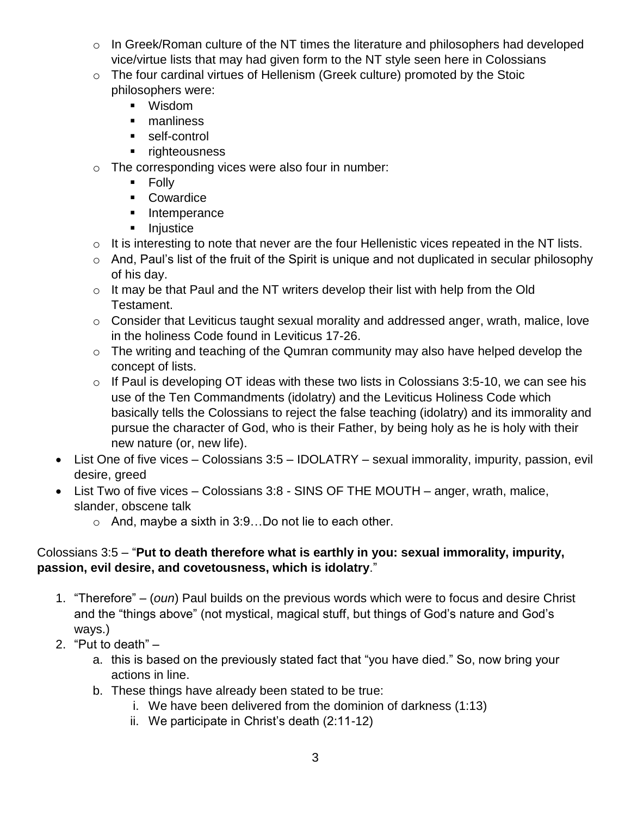- o In Greek/Roman culture of the NT times the literature and philosophers had developed vice/virtue lists that may had given form to the NT style seen here in Colossians
- o The four cardinal virtues of Hellenism (Greek culture) promoted by the Stoic philosophers were:
	- Wisdom
	- **nanliness**
	- self-control
	- **righteousness**
- $\circ$  The corresponding vices were also four in number:
	- **Folly**
	- **Cowardice**
	- **Intemperance**
	- **Injustice**
- $\circ$  It is interesting to note that never are the four Hellenistic vices repeated in the NT lists.
- $\circ$  And, Paul's list of the fruit of the Spirit is unique and not duplicated in secular philosophy of his day.
- $\circ$  It may be that Paul and the NT writers develop their list with help from the Old Testament.
- o Consider that Leviticus taught sexual morality and addressed anger, wrath, malice, love in the holiness Code found in Leviticus 17-26.
- o The writing and teaching of the Qumran community may also have helped develop the concept of lists.
- $\circ$  If Paul is developing OT ideas with these two lists in Colossians 3:5-10, we can see his use of the Ten Commandments (idolatry) and the Leviticus Holiness Code which basically tells the Colossians to reject the false teaching (idolatry) and its immorality and pursue the character of God, who is their Father, by being holy as he is holy with their new nature (or, new life).
- List One of five vices Colossians 3:5 IDOLATRY sexual immorality, impurity, passion, evil desire, greed
- List Two of five vices Colossians 3:8 SINS OF THE MOUTH anger, wrath, malice, slander, obscene talk
	- $\circ$  And, maybe a sixth in 3:9...Do not lie to each other.

## Colossians 3:5 – "**Put to death therefore what is earthly in you: sexual immorality, impurity, passion, evil desire, and covetousness, which is idolatry**."

- 1. "Therefore" (*oun*) Paul builds on the previous words which were to focus and desire Christ and the "things above" (not mystical, magical stuff, but things of God's nature and God's ways.)
- 2. "Put to death"
	- a. this is based on the previously stated fact that "you have died." So, now bring your actions in line.
	- b. These things have already been stated to be true:
		- i. We have been delivered from the dominion of darkness (1:13)
		- ii. We participate in Christ's death (2:11-12)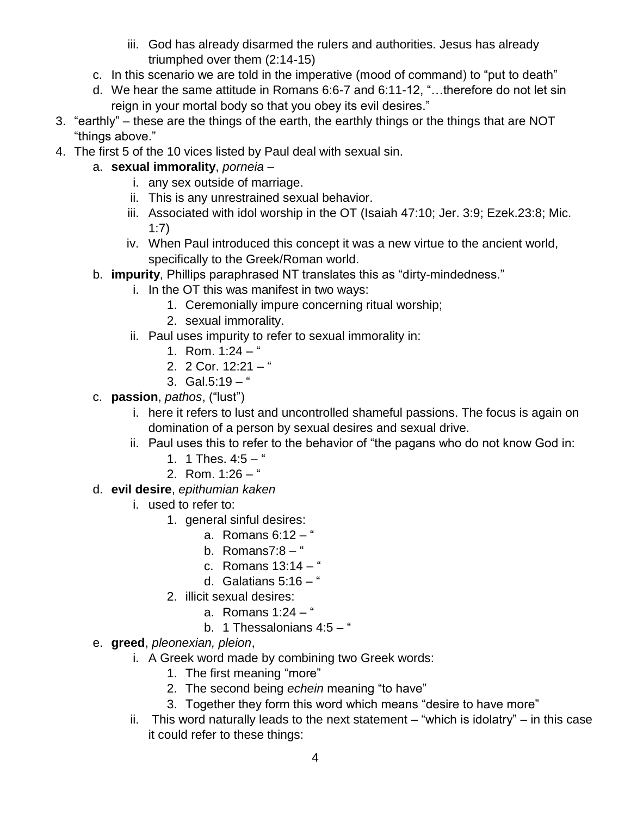- iii. God has already disarmed the rulers and authorities. Jesus has already triumphed over them (2:14-15)
- c. In this scenario we are told in the imperative (mood of command) to "put to death"
- d. We hear the same attitude in Romans 6:6-7 and 6:11-12, "…therefore do not let sin reign in your mortal body so that you obey its evil desires."
- 3. "earthly" these are the things of the earth, the earthly things or the things that are NOT "things above."
- 4. The first 5 of the 10 vices listed by Paul deal with sexual sin.
	- a. **sexual immorality**, *porneia*
		- i. any sex outside of marriage.
		- ii. This is any unrestrained sexual behavior.
		- iii. Associated with idol worship in the OT (Isaiah 47:10; Jer. 3:9; Ezek.23:8; Mic. 1:7)
		- iv. When Paul introduced this concept it was a new virtue to the ancient world, specifically to the Greek/Roman world.
	- b. **impurity**, Phillips paraphrased NT translates this as "dirty-mindedness."
		- i. In the OT this was manifest in two ways:
			- 1. Ceremonially impure concerning ritual worship;
			- 2. sexual immorality.
		- ii. Paul uses impurity to refer to sexual immorality in:
			- 1. Rom.  $1:24 -$ "
			- 2. 2 Cor. 12:21 "
			- 3. Gal.5:19 "
	- c. **passion**, *pathos*, ("lust")
		- i. here it refers to lust and uncontrolled shameful passions. The focus is again on domination of a person by sexual desires and sexual drive.
		- ii. Paul uses this to refer to the behavior of "the pagans who do not know God in:
			- 1. 1 Thes.  $4:5 -$  "
			- 2. Rom.  $1:26 -$ "
	- d. **evil desire**, *epithumian kaken*
		- i. used to refer to:
			- 1. general sinful desires:
				- a. Romans  $6:12 4$
				- b. Romans $7:8 -$ "
				- c. Romans 13:14 "
				- d. Galatians  $5:16 -$ "
			- 2. illicit sexual desires:
				- a. Romans 1:24 "
				- b. 1 Thessalonians  $4:5 -$ "
	- e. **greed**, *pleonexian, pleion*,
		- i. A Greek word made by combining two Greek words:
			- 1. The first meaning "more"
			- 2. The second being *echein* meaning "to have"
			- 3. Together they form this word which means "desire to have more"
		- ii. This word naturally leads to the next statement  $-$  "which is idolatry"  $-$  in this case it could refer to these things: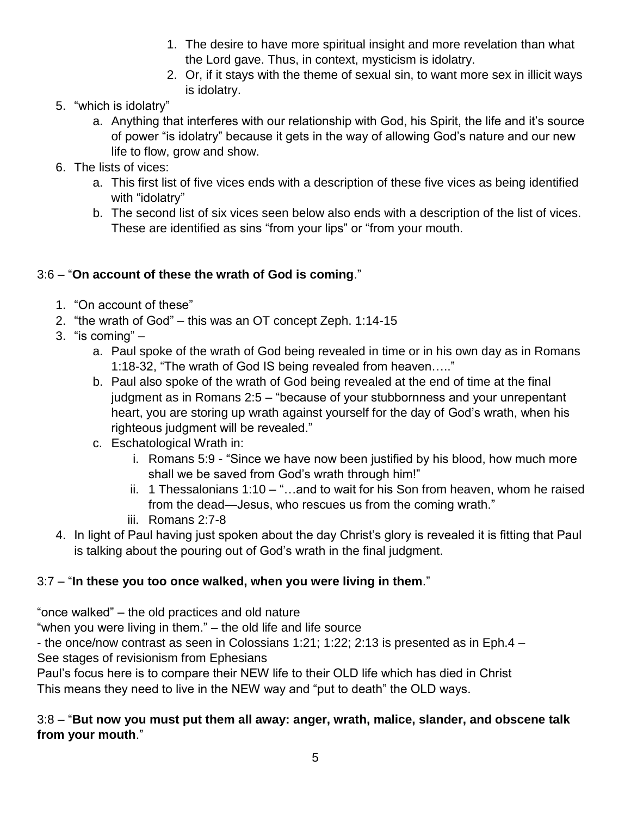- 1. The desire to have more spiritual insight and more revelation than what the Lord gave. Thus, in context, mysticism is idolatry.
- 2. Or, if it stays with the theme of sexual sin, to want more sex in illicit ways is idolatry.
- 5. "which is idolatry"
	- a. Anything that interferes with our relationship with God, his Spirit, the life and it's source of power "is idolatry" because it gets in the way of allowing God's nature and our new life to flow, grow and show.
- 6. The lists of vices:
	- a. This first list of five vices ends with a description of these five vices as being identified with "idolatry"
	- b. The second list of six vices seen below also ends with a description of the list of vices. These are identified as sins "from your lips" or "from your mouth.

# 3:6 – "**On account of these the wrath of God is coming**."

- 1. "On account of these"
- 2. "the wrath of God" this was an OT concept Zeph. 1:14-15
- 3. "is coming"  $$ 
	- a. Paul spoke of the wrath of God being revealed in time or in his own day as in Romans 1:18-32, "The wrath of God IS being revealed from heaven….."
	- b. Paul also spoke of the wrath of God being revealed at the end of time at the final judgment as in Romans 2:5 – "because of your stubbornness and your unrepentant heart, you are storing up wrath against yourself for the day of God's wrath, when his righteous judgment will be revealed."
	- c. Eschatological Wrath in:
		- i. Romans 5:9 "Since we have now been justified by his blood, how much more shall we be saved from God's wrath through him!"
		- ii. 1 Thessalonians  $1:10 -$  "...and to wait for his Son from heaven, whom he raised from the dead—Jesus, who rescues us from the coming wrath."
		- iii. Romans 2:7-8
- 4. In light of Paul having just spoken about the day Christ's glory is revealed it is fitting that Paul is talking about the pouring out of God's wrath in the final judgment.

# 3:7 – "**In these you too once walked, when you were living in them**."

"once walked" – the old practices and old nature

"when you were living in them." – the old life and life source

- the once/now contrast as seen in Colossians 1:21; 1:22; 2:13 is presented as in Eph.4 – See stages of revisionism from Ephesians

Paul's focus here is to compare their NEW life to their OLD life which has died in Christ This means they need to live in the NEW way and "put to death" the OLD ways.

#### 3:8 – "**But now you must put them all away: anger, wrath, malice, slander, and obscene talk from your mouth**."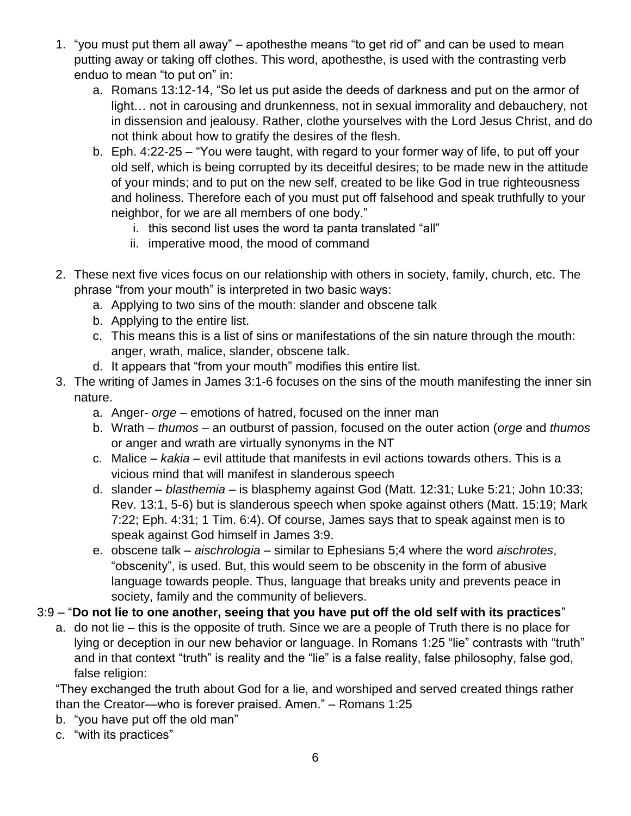- 1. "you must put them all away" apothesthe means "to get rid of" and can be used to mean putting away or taking off clothes. This word, apothesthe, is used with the contrasting verb enduo to mean "to put on" in:
	- a. Romans 13:12-14, "So let us put aside the deeds of darkness and put on the armor of light… not in carousing and drunkenness, not in sexual immorality and debauchery, not in dissension and jealousy. Rather, clothe yourselves with the Lord Jesus Christ, and do not think about how to gratify the desires of the flesh.
	- b. Eph. 4:22-25 "You were taught, with regard to your former way of life, to put off your old self, which is being corrupted by its deceitful desires; to be made new in the attitude of your minds; and to put on the new self, created to be like God in true righteousness and holiness. Therefore each of you must put off falsehood and speak truthfully to your neighbor, for we are all members of one body."
		- i. this second list uses the word ta panta translated "all"
		- ii. imperative mood, the mood of command
- 2. These next five vices focus on our relationship with others in society, family, church, etc. The phrase "from your mouth" is interpreted in two basic ways:
	- a. Applying to two sins of the mouth: slander and obscene talk
	- b. Applying to the entire list.
	- c. This means this is a list of sins or manifestations of the sin nature through the mouth: anger, wrath, malice, slander, obscene talk.
	- d. It appears that "from your mouth" modifies this entire list.
- 3. The writing of James in James 3:1-6 focuses on the sins of the mouth manifesting the inner sin nature.
	- a. Anger- *orge* emotions of hatred, focused on the inner man
	- b. Wrath *thumos* an outburst of passion, focused on the outer action (*orge* and *thumos* or anger and wrath are virtually synonyms in the NT
	- c. Malice *kakia* evil attitude that manifests in evil actions towards others. This is a vicious mind that will manifest in slanderous speech
	- d. slander *blasthemia* is blasphemy against God (Matt. 12:31; Luke 5:21; John 10:33; Rev. 13:1, 5-6) but is slanderous speech when spoke against others (Matt. 15:19; Mark 7:22; Eph. 4:31; 1 Tim. 6:4). Of course, James says that to speak against men is to speak against God himself in James 3:9.
	- e. obscene talk *aischrologia* similar to Ephesians 5;4 where the word *aischrotes*, "obscenity", is used. But, this would seem to be obscenity in the form of abusive language towards people. Thus, language that breaks unity and prevents peace in society, family and the community of believers.

## 3:9 – "**Do not lie to one another, seeing that you have put off the old self with its practices**"

a. do not lie – this is the opposite of truth. Since we are a people of Truth there is no place for lying or deception in our new behavior or language. In Romans 1:25 "lie" contrasts with "truth" and in that context "truth" is reality and the "lie" is a false reality, false philosophy, false god, false religion:

"They exchanged the truth about God for a lie, and worshiped and served created things rather than the Creator—who is forever praised. Amen." – Romans 1:25

- b. "you have put off the old man"
- c. "with its practices"